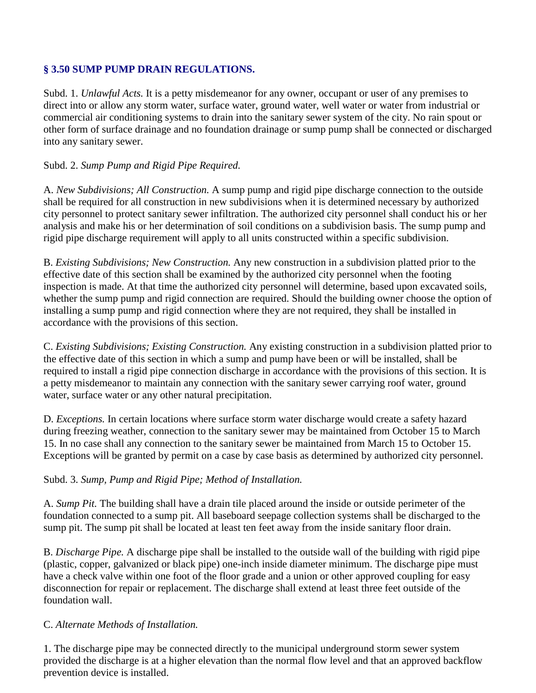# **§ 3.50 SUMP PUMP DRAIN REGULATIONS.**

Subd. 1. *Unlawful Acts.* It is a petty misdemeanor for any owner, occupant or user of any premises to direct into or allow any storm water, surface water, ground water, well water or water from industrial or commercial air conditioning systems to drain into the sanitary sewer system of the city. No rain spout or other form of surface drainage and no foundation drainage or sump pump shall be connected or discharged into any sanitary sewer.

### Subd. 2. *Sump Pump and Rigid Pipe Required.*

A. *New Subdivisions; All Construction.* A sump pump and rigid pipe discharge connection to the outside shall be required for all construction in new subdivisions when it is determined necessary by authorized city personnel to protect sanitary sewer infiltration. The authorized city personnel shall conduct his or her analysis and make his or her determination of soil conditions on a subdivision basis. The sump pump and rigid pipe discharge requirement will apply to all units constructed within a specific subdivision.

B. *Existing Subdivisions; New Construction.* Any new construction in a subdivision platted prior to the effective date of this section shall be examined by the authorized city personnel when the footing inspection is made. At that time the authorized city personnel will determine, based upon excavated soils, whether the sump pump and rigid connection are required. Should the building owner choose the option of installing a sump pump and rigid connection where they are not required, they shall be installed in accordance with the provisions of this section.

C. *Existing Subdivisions; Existing Construction.* Any existing construction in a subdivision platted prior to the effective date of this section in which a sump and pump have been or will be installed, shall be required to install a rigid pipe connection discharge in accordance with the provisions of this section. It is a petty misdemeanor to maintain any connection with the sanitary sewer carrying roof water, ground water, surface water or any other natural precipitation.

D. *Exceptions.* In certain locations where surface storm water discharge would create a safety hazard during freezing weather, connection to the sanitary sewer may be maintained from October 15 to March 15. In no case shall any connection to the sanitary sewer be maintained from March 15 to October 15. Exceptions will be granted by permit on a case by case basis as determined by authorized city personnel.

#### Subd. 3. *Sump, Pump and Rigid Pipe; Method of Installation.*

A. *Sump Pit.* The building shall have a drain tile placed around the inside or outside perimeter of the foundation connected to a sump pit. All baseboard seepage collection systems shall be discharged to the sump pit. The sump pit shall be located at least ten feet away from the inside sanitary floor drain.

B. *Discharge Pipe.* A discharge pipe shall be installed to the outside wall of the building with rigid pipe (plastic, copper, galvanized or black pipe) one-inch inside diameter minimum. The discharge pipe must have a check valve within one foot of the floor grade and a union or other approved coupling for easy disconnection for repair or replacement. The discharge shall extend at least three feet outside of the foundation wall.

#### C. *Alternate Methods of Installation.*

1. The discharge pipe may be connected directly to the municipal underground storm sewer system provided the discharge is at a higher elevation than the normal flow level and that an approved backflow prevention device is installed.